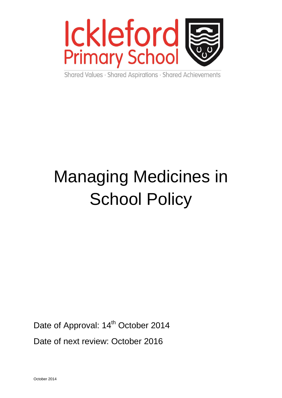

Shared Values · Shared Aspirations · Shared Achievements

# Managing Medicines in **School Policy**

Date of Approval: 14<sup>th</sup> October 2014

Date of next review: October 2016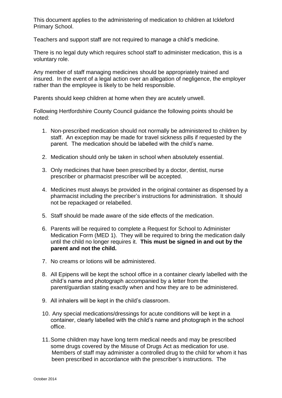This document applies to the administering of medication to children at Ickleford Primary School.

Teachers and support staff are not required to manage a child's medicine.

There is no legal duty which requires school staff to administer medication, this is a voluntary role.

Any member of staff managing medicines should be appropriately trained and insured. In the event of a legal action over an allegation of negligence, the employer rather than the employee is likely to be held responsible.

Parents should keep children at home when they are acutely unwell.

Following Hertfordshire County Council guidance the following points should be noted:

- 1. Non-prescribed medication should not normally be administered to children by staff. An exception may be made for travel sickness pills if requested by the parent. The medication should be labelled with the child's name.
- 2. Medication should only be taken in school when absolutely essential.
- 3. Only medicines that have been prescribed by a doctor, dentist, nurse prescriber or pharmacist prescriber will be accepted.
- 4. Medicines must always be provided in the original container as dispensed by a pharmacist including the precriber's instructions for administration. It should not be repackaged or relabelled.
- 5. Staff should be made aware of the side effects of the medication.
- 6. Parents will be required to complete a Request for School to Administer Medication Form (MED 1). They will be required to bring the medication daily until the child no longer requires it. **This must be signed in and out by the parent and not the child.**
- 7. No creams or lotions will be administered.
- 8. All Epipens will be kept the school office in a container clearly labelled with the child's name and photograph accompanied by a letter from the parent/guardian stating exactly when and how they are to be administered.
- 9. All inhalers will be kept in the child's classroom.
- 10. Any special medications/dressings for acute conditions will be kept in a container, clearly labelled with the child's name and photograph in the school office.
- 11.Some children may have long term medical needs and may be prescribed some drugs covered by the Misuse of Drugs Act as medication for use. Members of staff may administer a controlled drug to the child for whom it has been prescribed in accordance with the prescriber's instructions. The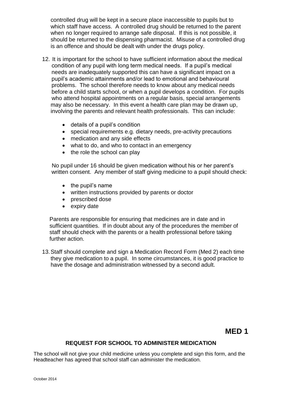controlled drug will be kept in a secure place inaccessible to pupils but to which staff have access. A controlled drug should be returned to the parent when no longer required to arrange safe disposal. If this is not possible, it should be returned to the dispensing pharmacist. Misuse of a controlled drug is an offence and should be dealt with under the drugs policy.

- 12. It is important for the school to have sufficient information about the medical condition of any pupil with long term medical needs. If a pupil's medical needs are inadequately supported this can have a significant impact on a pupil's academic attainments and/or lead to emotional and behavioural problems. The school therefore needs to know about any medical needs before a child starts school, or when a pupil develops a condition. For pupils who attend hospital appointments on a regular basis, special arrangements may also be necessary. In this event a health care plan may be drawn up, involving the parents and relevant health professionals. This can include:
	- details of a pupil's condition
	- special requirements e.g. dietary needs, pre-activity precautions
	- medication and any side effects
	- what to do, and who to contact in an emergency
	- $\bullet$  the role the school can play

 No pupil under 16 should be given medication without his or her parent's written consent. Any member of staff giving medicine to a pupil should check:

- $\bullet$  the pupil's name
- written instructions provided by parents or doctor
- prescribed dose
- expiry date

Parents are responsible for ensuring that medicines are in date and in sufficient quantities. If in doubt about any of the procedures the member of staff should check with the parents or a health professional before taking further action.

13.Staff should complete and sign a Medication Record Form (Med 2) each time they give medication to a pupil. In some circumstances, it is good practice to have the dosage and administration witnessed by a second adult.

# **MED 1**

### **REQUEST FOR SCHOOL TO ADMINISTER MEDICATION**

The school will not give your child medicine unless you complete and sign this form, and the Headteacher has agreed that school staff can administer the medication.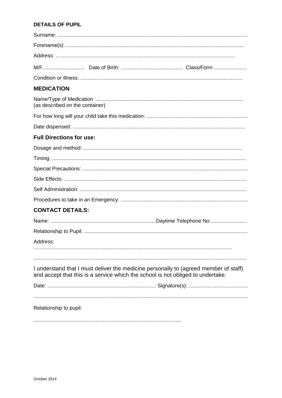## **DETAILS OF PUPIL**

| <b>MEDICATION</b>                                                                                                                                                       |  |
|-------------------------------------------------------------------------------------------------------------------------------------------------------------------------|--|
| (as described on the container)                                                                                                                                         |  |
|                                                                                                                                                                         |  |
|                                                                                                                                                                         |  |
| <b>Full Directions for use:</b>                                                                                                                                         |  |
|                                                                                                                                                                         |  |
|                                                                                                                                                                         |  |
|                                                                                                                                                                         |  |
|                                                                                                                                                                         |  |
|                                                                                                                                                                         |  |
|                                                                                                                                                                         |  |
| <b>CONTACT DETAILS:</b>                                                                                                                                                 |  |
|                                                                                                                                                                         |  |
|                                                                                                                                                                         |  |
| Address:                                                                                                                                                                |  |
|                                                                                                                                                                         |  |
| I understand that I must deliver the medicine personally to (agreed member of staff)<br>and accept that this is a service which the school is not obliged to undertake. |  |
|                                                                                                                                                                         |  |
| Relationship to pupil:                                                                                                                                                  |  |